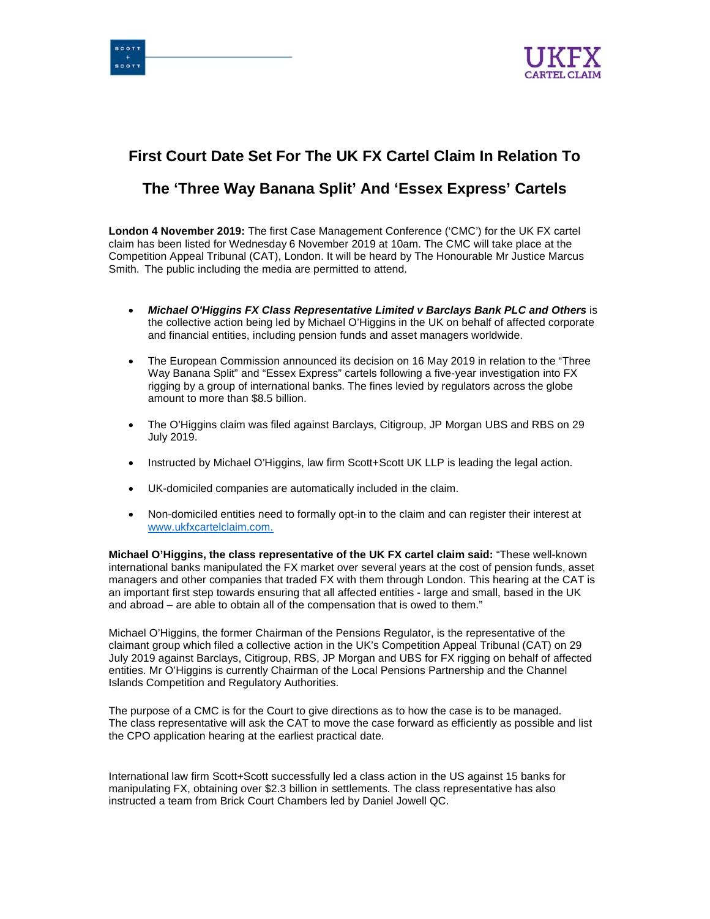



# **First Court Date Set For The UK FX Cartel Claim In Relation To**

## **The 'Three Way Banana Split' And 'Essex Express' Cartels**

**London 4 November 2019:** The first Case Management Conference ('CMC') for the UK FX cartel claim has been listed for Wednesday 6 November 2019 at 10am. The CMC will take place at the Competition Appeal Tribunal (CAT), London. It will be heard by The Honourable Mr Justice Marcus Smith. The public including the media are permitted to attend.

- *Michael O'Higgins FX Class Representative Limited v Barclays Bank PLC and Others* is the collective action being led by Michael O'Higgins in the UK on behalf of affected corporate and financial entities, including pension funds and asset managers worldwide.
- The European Commission announced its decision on 16 May 2019 in relation to the "Three" Way Banana Split" and "Essex Express" cartels following a five-year investigation into FX rigging by a group of international banks. The fines levied by regulators across the globe amount to more than \$8.5 billion.
- The O'Higgins claim was filed against Barclays, Citigroup, JP Morgan UBS and RBS on 29 July 2019.
- Instructed by Michael O'Higgins, law firm Scott+Scott UK LLP is leading the legal action.
- UK-domiciled companies are automatically included in the claim.
- Non-domiciled entities need to formally opt-in to the claim and can register their interest at www.ukfxcartelclaim.com.

**Michael O'Higgins, the class representative of the UK FX cartel claim said:** "These well-known international banks manipulated the FX market over several years at the cost of pension funds, asset managers and other companies that traded FX with them through London. This hearing at the CAT is an important first step towards ensuring that all affected entities - large and small, based in the UK and abroad – are able to obtain all of the compensation that is owed to them."

Michael O'Higgins, the former Chairman of the Pensions Regulator, is the representative of the claimant group which filed a collective action in the UK's Competition Appeal Tribunal (CAT) on 29 July 2019 against Barclays, Citigroup, RBS, JP Morgan and UBS for FX rigging on behalf of affected entities. Mr O'Higgins is currently Chairman of the Local Pensions Partnership and the Channel Islands Competition and Regulatory Authorities.

The purpose of a CMC is for the Court to give directions as to how the case is to be managed. The class representative will ask the CAT to move the case forward as efficiently as possible and list the CPO application hearing at the earliest practical date.

International law firm Scott+Scott successfully led a class action in the US against 15 banks for manipulating FX, obtaining over \$2.3 billion in settlements. The class representative has also instructed a team from Brick Court Chambers led by Daniel Jowell QC.